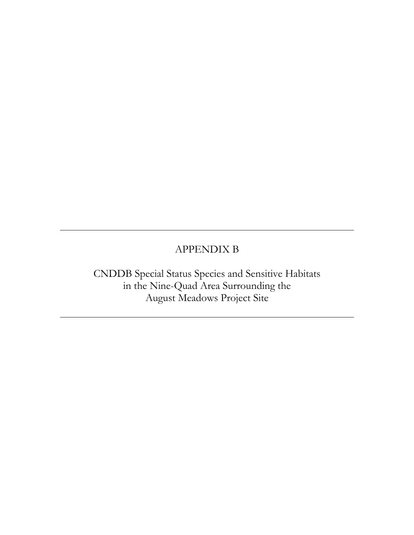## APPENDIX B

CNDDB Special Status Species and Sensitive Habitats in the Nine-Quad Area Surrounding the August Meadows Project Site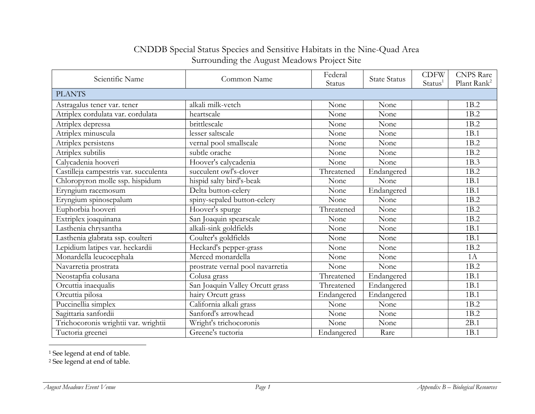## CNDDB Special Status Species and Sensitive Habitats in the Nine-Quad Area Surrounding the August Meadows Project Site

| Scientific Name                       | Common Name                      | Federal<br>Status | <b>State Status</b> | <b>CDFW</b><br>Status <sup>1</sup> | <b>CNPS</b> Rare<br>Plant Rank <sup>2</sup> |  |  |
|---------------------------------------|----------------------------------|-------------------|---------------------|------------------------------------|---------------------------------------------|--|--|
| <b>PLANTS</b>                         |                                  |                   |                     |                                    |                                             |  |  |
| Astragalus tener var. tener           | alkali milk-vetch                | None              | None                |                                    | 1B.2                                        |  |  |
| Atriplex cordulata var. cordulata     | heartscale                       | None              | None                |                                    | 1B.2                                        |  |  |
| Atriplex depressa                     | brittlescale                     | None              | None                |                                    | 1B.2                                        |  |  |
| Atriplex minuscula                    | lesser saltscale                 | None              | None                |                                    | 1B.1                                        |  |  |
| Atriplex persistens                   | vernal pool smallscale           | None              | None                |                                    | 1B.2                                        |  |  |
| Atriplex subtilis                     | subtle orache                    | None              | None                |                                    | 1B.2                                        |  |  |
| Calycadenia hooveri                   | Hoover's calycadenia             | None              | None                |                                    | 1B.3                                        |  |  |
| Castilleja campestris var. succulenta | succulent owl's-clover           | Threatened        | Endangered          |                                    | 1B.2                                        |  |  |
| Chloropyron molle ssp. hispidum       | hispid salty bird's-beak         | None              | None                |                                    | 1B.1                                        |  |  |
| Eryngium racemosum                    | Delta button-celery              | None              | Endangered          |                                    | 1B.1                                        |  |  |
| Eryngium spinosepalum                 | spiny-sepaled button-celery      | None              | None                |                                    | 1B.2                                        |  |  |
| Euphorbia hooveri                     | Hoover's spurge                  | Threatened        | None                |                                    | 1B.2                                        |  |  |
| Extriplex joaquinana                  | San Joaquin spearscale           | None              | None                |                                    | 1B.2                                        |  |  |
| Lasthenia chrysantha                  | alkali-sink goldfields           | None              | None                |                                    | 1B.1                                        |  |  |
| Lasthenia glabrata ssp. coulteri      | Coulter's goldfields             | None              | None                |                                    | 1B.1                                        |  |  |
| Lepidium latipes var. heckardii       | Heckard's pepper-grass           | None              | None                |                                    | 1B.2                                        |  |  |
| Monardella leucocephala               | Merced monardella                | None              | None                |                                    | 1A                                          |  |  |
| Navarretia prostrata                  | prostrate vernal pool navarretia | None              | None                |                                    | 1B.2                                        |  |  |
| Neostapfia colusana                   | Colusa grass                     | Threatened        | Endangered          |                                    | 1B.1                                        |  |  |
| Orcuttia inaequalis                   | San Joaquin Valley Orcutt grass  | Threatened        | Endangered          |                                    | 1B.1                                        |  |  |
| Orcuttia pilosa                       | hairy Orcutt grass               | Endangered        | Endangered          |                                    | 1B.1                                        |  |  |
| Puccinellia simplex                   | California alkali grass          | None              | None                |                                    | 1B.2                                        |  |  |
| Sagittaria sanfordii                  | Sanford's arrowhead              | None              | None                |                                    | 1B.2                                        |  |  |
| Trichocoronis wrightii var. wrightii  | Wright's trichocoronis           | None              | None                |                                    | 2B.1                                        |  |  |
| Tuctoria greenei                      | Greene's tuctoria                | Endangered        | Rare                |                                    | 1B.1                                        |  |  |

<sup>1</sup> See legend at end of table.

<sup>2</sup> See legend at end of table.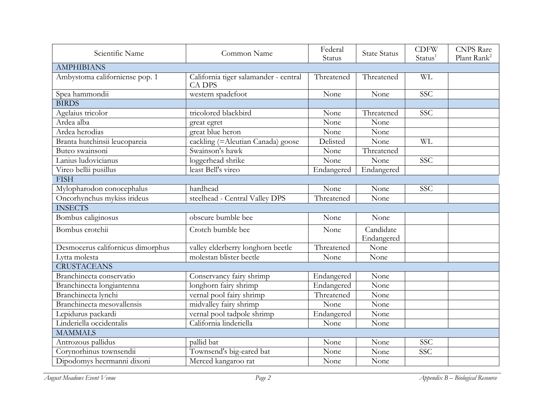| Scientific Name                   | Common Name                                            | Federal    | <b>State Status</b> | <b>CDFW</b>         | <b>CNPS</b> Rare        |
|-----------------------------------|--------------------------------------------------------|------------|---------------------|---------------------|-------------------------|
|                                   |                                                        | Status     |                     | Status <sup>1</sup> | Plant Rank <sup>2</sup> |
| <b>AMPHIBIANS</b>                 |                                                        |            |                     |                     |                         |
| Ambystoma californiense pop. 1    | California tiger salamander - central<br><b>CA DPS</b> | Threatened | Threatened          | <b>WL</b>           |                         |
| Spea hammondii                    | western spadefoot                                      | None       | None                | <b>SSC</b>          |                         |
| <b>BIRDS</b>                      |                                                        |            |                     |                     |                         |
| Agelaius tricolor                 | tricolored blackbird                                   | None       | Threatened          | SSC                 |                         |
| Ardea alba                        | great egret                                            | None       | None                |                     |                         |
| Ardea herodias                    | great blue heron                                       | None       | None                |                     |                         |
| Branta hutchinsii leucopareia     | cackling (= Aleutian Canada) goose                     | Delisted   | None                | <b>WL</b>           |                         |
| Buteo swainsoni                   | Swainson's hawk                                        | None       | Threatened          |                     |                         |
| Lanius ludovicianus               | loggerhead shrike                                      | None       | None                | SSC                 |                         |
| Vireo bellii pusillus             | least Bell's vireo                                     | Endangered | Endangered          |                     |                         |
| <b>FISH</b>                       |                                                        |            |                     |                     |                         |
| Mylopharodon conocephalus         | hardhead                                               | None       | None                | <b>SSC</b>          |                         |
| Oncorhynchus mykiss irideus       | steelhead - Central Valley DPS                         | Threatened | None                |                     |                         |
| <b>INSECTS</b>                    |                                                        |            |                     |                     |                         |
| Bombus caliginosus                | obscure bumble bee                                     | None       | None                |                     |                         |
| Bombus crotchii                   | Crotch bumble bee                                      | None       | Candidate           |                     |                         |
|                                   |                                                        |            | Endangered          |                     |                         |
| Desmocerus californicus dimorphus | valley elderberry longhorn beetle                      | Threatened | None                |                     |                         |
| Lytta molesta                     | molestan blister beetle                                | None       | None                |                     |                         |
| <b>CRUSTACEANS</b>                |                                                        |            |                     |                     |                         |
| Branchinecta conservatio          | Conservancy fairy shrimp                               | Endangered | None                |                     |                         |
| Branchinecta longiantenna         | longhorn fairy shrimp                                  | Endangered | None                |                     |                         |
| Branchinecta lynchi               | vernal pool fairy shrimp                               | Threatened | None                |                     |                         |
| Branchinecta mesovallensis        | midvalley fairy shrimp                                 | None       | None                |                     |                         |
| Lepidurus packardi                | vernal pool tadpole shrimp                             | Endangered | None                |                     |                         |
| Linderiella occidentalis          | California linderiella                                 | None       | None                |                     |                         |
| <b>MAMMALS</b>                    |                                                        |            |                     |                     |                         |
| Antrozous pallidus                | pallid bat                                             | None       | None                | <b>SSC</b>          |                         |
| Corynorhinus townsendii           | Townsend's big-eared bat                               | None       | None                | SSC                 |                         |
| Dipodomys heermanni dixoni        | Merced kangaroo rat                                    | None       | None                |                     |                         |